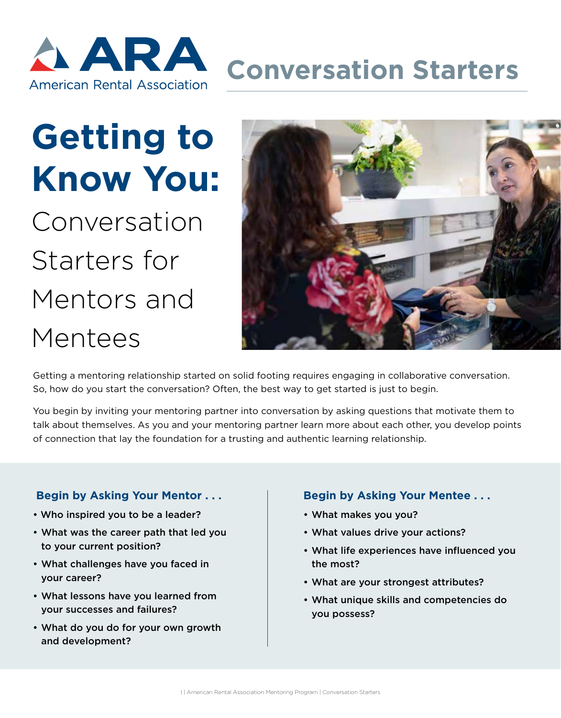

# **Getting to Know You:**

Conversation Starters for Mentors and Mentees



Getting a mentoring relationship started on solid footing requires engaging in collaborative conversation. So, how do you start the conversation? Often, the best way to get started is just to begin.

You begin by inviting your mentoring partner into conversation by asking questions that motivate them to talk about themselves. As you and your mentoring partner learn more about each other, you develop points of connection that lay the foundation for a trusting and authentic learning relationship.

### **Begin by Asking Your Mentor . . .**

- Who inspired you to be a leader?
- What was the career path that led you to your current position?
- What challenges have you faced in your career?
- What lessons have you learned from your successes and failures?
- What do you do for your own growth and development?

### **Begin by Asking Your Mentee . . .**

- What makes you you?
- What values drive your actions?
- What life experiences have influenced you the most?
- What are your strongest attributes?
- What unique skills and competencies do you possess?